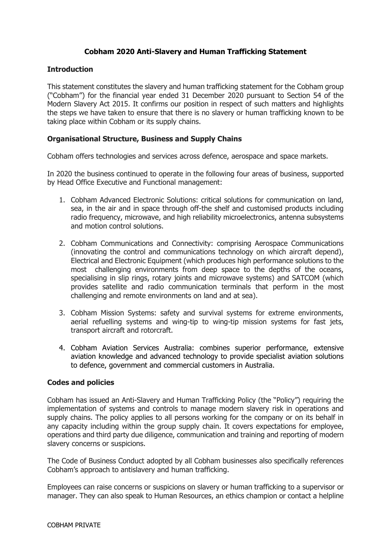# **Cobham 2020 Anti-Slavery and Human Trafficking Statement**

### **Introduction**

This statement constitutes the slavery and human trafficking statement for the Cobham group ("Cobham") for the financial year ended 31 December 2020 pursuant to Section 54 of the Modern Slavery Act 2015. It confirms our position in respect of such matters and highlights the steps we have taken to ensure that there is no slavery or human trafficking known to be taking place within Cobham or its supply chains.

### **Organisational Structure, Business and Supply Chains**

Cobham offers technologies and services across defence, aerospace and space markets.

In 2020 the business continued to operate in the following four areas of business, supported by Head Office Executive and Functional management:

- 1. Cobham Advanced Electronic Solutions: critical solutions for communication on land, sea, in the air and in space through off-the shelf and customised products including radio frequency, microwave, and high reliability microelectronics, antenna subsystems and motion control solutions.
- 2. Cobham Communications and Connectivity: comprising Aerospace Communications (innovating the control and communications technology on which aircraft depend), Electrical and Electronic Equipment (which produces high performance solutions to the most challenging environments from deep space to the depths of the oceans, specialising in slip rings, rotary joints and microwave systems) and SATCOM (which provides satellite and radio communication terminals that perform in the most challenging and remote environments on land and at sea).
- 3. Cobham Mission Systems: safety and survival systems for extreme environments, aerial refuelling systems and wing-tip to wing-tip mission systems for fast jets, transport aircraft and rotorcraft.
- 4. Cobham Aviation Services Australia: combines superior performance, extensive aviation knowledge and advanced technology to provide specialist aviation solutions to defence, government and commercial customers in Australia.

#### **Codes and policies**

Cobham has issued an Anti-Slavery and Human Trafficking Policy (the "Policy") requiring the implementation of systems and controls to manage modern slavery risk in operations and supply chains. The policy applies to all persons working for the company or on its behalf in any capacity including within the group supply chain. It covers expectations for employee, operations and third party due diligence, communication and training and reporting of modern slavery concerns or suspicions.

The Code of Business Conduct adopted by all Cobham businesses also specifically references Cobham's approach to antislavery and human trafficking.

Employees can raise concerns or suspicions on slavery or human trafficking to a supervisor or manager. They can also speak to Human Resources, an ethics champion or contact a helpline